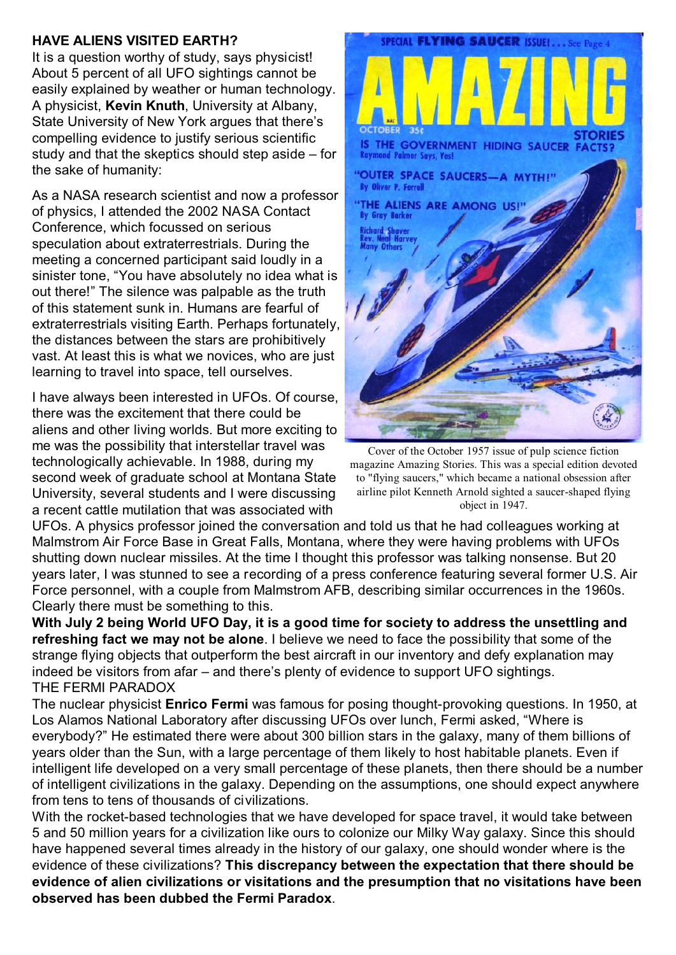## **HAVE ALIENS VISITED EARTH?**

It is a question worthy of study, says physicist! About 5 percent of all UFO sightings cannot be easily explained by weather or human technology. A physicist, **Kevin Knuth**, University at Albany, State University of New York argues that there's compelling evidence to justify serious scientific study and that the skeptics should step aside – for the sake of humanity:

As a NASA research scientist and now a professor of physics, I attended the 2002 NASA Contact Conference, which focussed on serious speculation about extraterrestrials. During the meeting a concerned participant said loudly in a sinister tone, "You have absolutely no idea what is out there!" The silence was palpable as the truth of this statement sunk in. Humans are fearful of extraterrestrials visiting Earth. Perhaps fortunately, the distances between the stars are prohibitively vast. At least this is what we novices, who are just learning to travel into space, tell ourselves.

I have always been interested in UFOs. Of course, there was the excitement that there could be aliens and other living worlds. But more exciting to me was the possibility that interstellar travel was technologically achievable. In 1988, during my second week of graduate school at Montana State University, several students and I were discussing a recent cattle mutilation that was associated with



Cover of the October 1957 issue of pulp science fiction magazine Amazing Stories. This was a special edition devoted to "flying saucers," which became a national obsession after airline pilot Kenneth Arnold sighted a saucer-shaped flying object in 1947.

UFOs. A physics professor joined the conversation and told us that he had colleagues working at Malmstrom Air Force Base in Great Falls, Montana, where they were having problems with UFOs shutting down nuclear missiles. At the time I thought this professor was talking nonsense. But 20 years later, I was stunned to see a recording of a press conference featuring several former U.S. Air Force personnel, with a couple from Malmstrom AFB, describing similar occurrences in the 1960s. Clearly there must be something to this.

**With July 2 being World UFO Day, it is a good time for society to address the unsettling and refreshing fact we may not be alone**. I believe we need to face the possibility that some of the strange flying objects that outperform the best aircraft in our inventory and defy explanation may indeed be visitors from afar – and there's plenty of evidence to support UFO sightings. THE FERMI PARADOX

The nuclear physicist **Enrico Fermi** was famous for posing thought-provoking questions. In 1950, at Los Alamos National Laboratory after discussing UFOs over lunch, Fermi asked, "Where is everybody?" He estimated there were about 300 billion stars in the galaxy, many of them billions of years older than the Sun, with a large percentage of them likely to host habitable planets. Even if intelligent life developed on a very small percentage of these planets, then there should be a number of intelligent civilizations in the galaxy. Depending on the assumptions, one should expect anywhere from tens to tens of thousands of civilizations.

With the rocket-based technologies that we have developed for space travel, it would take between 5 and 50 million years for a civilization like ours to colonize our Milky Way galaxy. Since this should have happened several times already in the history of our galaxy, one should wonder where is the evidence of these civilizations? **This discrepancy between the expectation that there should be evidence of alien civilizations or visitations and the presumption that no visitations have been observed has been dubbed the Fermi Paradox**.